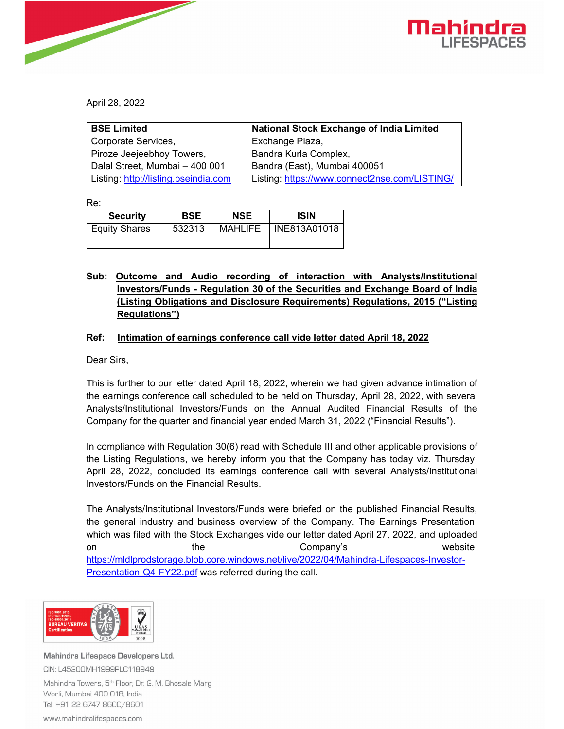

April 28, 2022

| <b>BSE Limited</b>                   | <b>National Stock Exchange of India Limited</b> |  |
|--------------------------------------|-------------------------------------------------|--|
| Corporate Services,                  | Exchange Plaza,                                 |  |
| Piroze Jeejeebhoy Towers,            | Bandra Kurla Complex,                           |  |
| Dalal Street, Mumbai - 400 001       | Bandra (East), Mumbai 400051                    |  |
| Listing: http://listing.bseindia.com | Listing: https://www.connect2nse.com/LISTING/   |  |

Re:

| <b>Security</b>      | <b>BSE</b> | <b>NSE</b>     | <b>ISIN</b>  |
|----------------------|------------|----------------|--------------|
| <b>Equity Shares</b> | 532313     | <b>MAHLIFE</b> | INE813A01018 |

## **Sub: Outcome and Audio recording of interaction with Analysts/Institutional Investors/Funds - Regulation 30 of the Securities and Exchange Board of India (Listing Obligations and Disclosure Requirements) Regulations, 2015 ("Listing Regulations")**

## **Ref: Intimation of earnings conference call vide letter dated April 18, 2022**

Dear Sirs,

This is further to our letter dated April 18, 2022, wherein we had given advance intimation of the earnings conference call scheduled to be held on Thursday, April 28, 2022, with several Analysts/Institutional Investors/Funds on the Annual Audited Financial Results of the Company for the quarter and financial year ended March 31, 2022 ("Financial Results").

In compliance with Regulation 30(6) read with Schedule III and other applicable provisions of the Listing Regulations, we hereby inform you that the Company has today viz. Thursday, April 28, 2022, concluded its earnings conference call with several Analysts/Institutional Investors/Funds on the Financial Results.

The Analysts/Institutional Investors/Funds were briefed on the published Financial Results, the general industry and business overview of the Company. The Earnings Presentation, which was filed with the Stock Exchanges vide our letter dated April 27, 2022, and uploaded on the the Company's website: https://mldlprodstorage.blob.core.windows.net/live/2022/04/Mahindra-Lifespaces-Investor-Presentation-Q4-FY22.pdf was referred during the call.



Mahindra Lifespace Developers Ltd. CIN: L45200MH1999PLC118949 Mahindra Towers, 5<sup>th</sup> Floor, Dr. G. M. Bhosale Marg

Worli, Mumbai 400 018, India Tel: +91 22 6747 8600/8601

www.mahindralifespaces.com